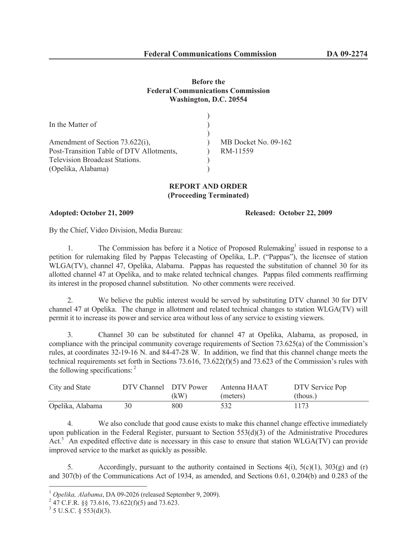## **Before the Federal Communications Commission Washington, D.C. 20554**

| In the Matter of                         |                      |
|------------------------------------------|----------------------|
|                                          |                      |
| Amendment of Section 73.622(i),          | MB Docket No. 09-162 |
| Post-Transition Table of DTV Allotments, | RM-11559             |
| <b>Television Broadcast Stations.</b>    |                      |
| (Opelika, Alabama)                       |                      |

## **REPORT AND ORDER (Proceeding Terminated)**

**Adopted: October 21, 2009 Released: October 22, 2009**

By the Chief, Video Division, Media Bureau:

1. The Commission has before it a Notice of Proposed Rulemaking<sup>1</sup> issued in response to a petition for rulemaking filed by Pappas Telecasting of Opelika, L.P. ("Pappas"), the licensee of station WLGA(TV), channel 47, Opelika, Alabama. Pappas has requested the substitution of channel 30 for its allotted channel 47 at Opelika, and to make related technical changes. Pappas filed comments reaffirming its interest in the proposed channel substitution. No other comments were received.

2. We believe the public interest would be served by substituting DTV channel 30 for DTV channel 47 at Opelika. The change in allotment and related technical changes to station WLGA(TV) will permit it to increase its power and service area without loss of any service to existing viewers.

3. Channel 30 can be substituted for channel 47 at Opelika, Alabama, as proposed, in compliance with the principal community coverage requirements of Section 73.625(a) of the Commission's rules, at coordinates 32-19-16 N. and 84-47-28 W. In addition, we find that this channel change meets the technical requirements set forth in Sections 73.616, 73.622(f)(5) and 73.623 of the Commission's rules with the following specifications: <sup>2</sup>

| City and State   | DTV Channel DTV Power |      | Antenna HAAT | DTV Service Pop |
|------------------|-----------------------|------|--------------|-----------------|
|                  |                       | (kW) | (meters)     | (thous.)        |
| Opelika, Alabama |                       | 800  | 532          | 1173            |

4. We also conclude that good cause exists to make this channel change effective immediately upon publication in the Federal Register, pursuant to Section 553(d)(3) of the Administrative Procedures Act.<sup>3</sup> An expedited effective date is necessary in this case to ensure that station WLGA(TV) can provide improved service to the market as quickly as possible.

5. Accordingly, pursuant to the authority contained in Sections  $4(i)$ ,  $5(c)(1)$ ,  $303(g)$  and (r) and 307(b) of the Communications Act of 1934, as amended, and Sections 0.61, 0.204(b) and 0.283 of the

<sup>1</sup> *Opelika, Alabama*, DA 09-2026 (released September 9, 2009).

 $^{2}$  47 C.F.R. §§ 73.616, 73.622(f)(5) and 73.623.

 $3$  5 U.S.C. § 553(d)(3).